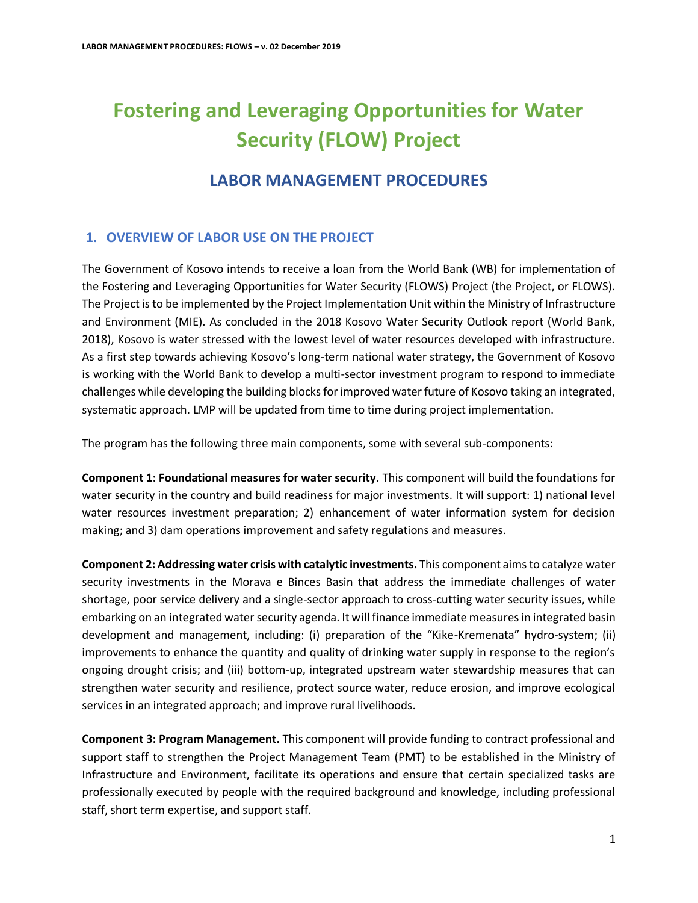# **Fostering and Leveraging Opportunities for Water Security (FLOW) Project**

# **LABOR MANAGEMENT PROCEDURES**

# **1. OVERVIEW OF LABOR USE ON THE PROJECT**

The Government of Kosovo intends to receive a loan from the World Bank (WB) for implementation of the Fostering and Leveraging Opportunities for Water Security (FLOWS) Project (the Project, or FLOWS). The Project is to be implemented by the Project Implementation Unit within the Ministry of Infrastructure and Environment (MIE). As concluded in the 2018 Kosovo Water Security Outlook report (World Bank, 2018), Kosovo is water stressed with the lowest level of water resources developed with infrastructure. As a first step towards achieving Kosovo's long-term national water strategy, the Government of Kosovo is working with the World Bank to develop a multi-sector investment program to respond to immediate challenges while developing the building blocks for improved water future of Kosovo taking an integrated, systematic approach. LMP will be updated from time to time during project implementation.

The program has the following three main components, some with several sub-components:

**Component 1: Foundational measures for water security.** This component will build the foundations for water security in the country and build readiness for major investments. It will support: 1) national level water resources investment preparation; 2) enhancement of water information system for decision making; and 3) dam operations improvement and safety regulations and measures.

**Component 2: Addressing water crisis with catalytic investments.** This component aims to catalyze water security investments in the Morava e Binces Basin that address the immediate challenges of water shortage, poor service delivery and a single-sector approach to cross-cutting water security issues, while embarking on an integrated water security agenda. It will finance immediate measures in integrated basin development and management, including: (i) preparation of the "Kike-Kremenata" hydro-system; (ii) improvements to enhance the quantity and quality of drinking water supply in response to the region's ongoing drought crisis; and (iii) bottom-up, integrated upstream water stewardship measures that can strengthen water security and resilience, protect source water, reduce erosion, and improve ecological services in an integrated approach; and improve rural livelihoods.

**Component 3: Program Management.** This component will provide funding to contract professional and support staff to strengthen the Project Management Team (PMT) to be established in the Ministry of Infrastructure and Environment, facilitate its operations and ensure that certain specialized tasks are professionally executed by people with the required background and knowledge, including professional staff, short term expertise, and support staff.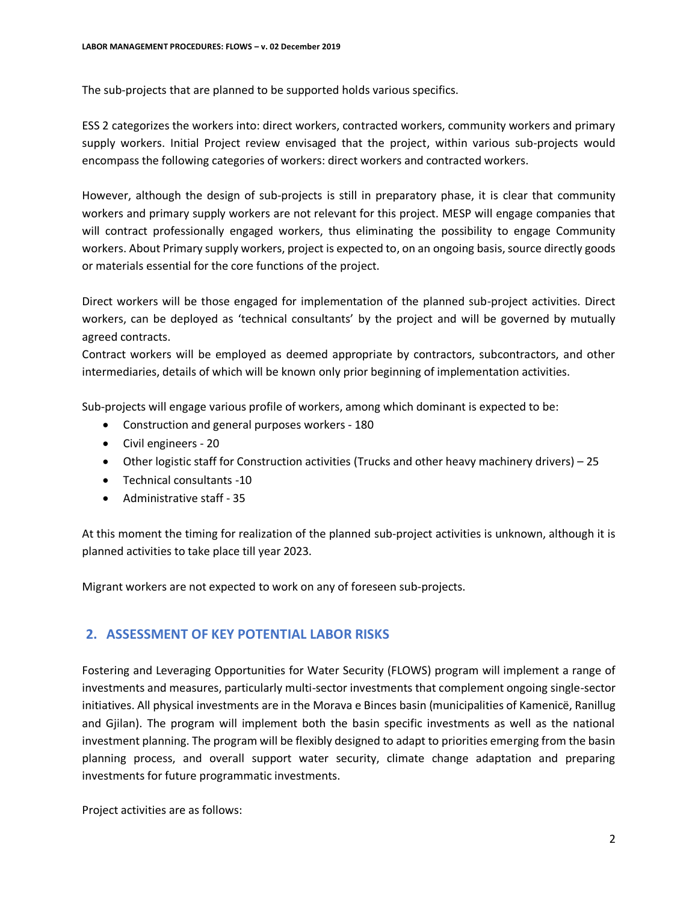The sub-projects that are planned to be supported holds various specifics.

ESS 2 categorizes the workers into: direct workers, contracted workers, community workers and primary supply workers. Initial Project review envisaged that the project, within various sub-projects would encompass the following categories of workers: direct workers and contracted workers.

However, although the design of sub-projects is still in preparatory phase, it is clear that community workers and primary supply workers are not relevant for this project. MESP will engage companies that will contract professionally engaged workers, thus eliminating the possibility to engage Community workers. About Primary supply workers, project is expected to, on an ongoing basis, source directly goods or materials essential for the core functions of the project.

Direct workers will be those engaged for implementation of the planned sub-project activities. Direct workers, can be deployed as 'technical consultants' by the project and will be governed by mutually agreed contracts.

Contract workers will be employed as deemed appropriate by contractors, subcontractors, and other intermediaries, details of which will be known only prior beginning of implementation activities.

Sub-projects will engage various profile of workers, among which dominant is expected to be:

- Construction and general purposes workers 180
- Civil engineers 20
- Other logistic staff for Construction activities (Trucks and other heavy machinery drivers) 25
- Technical consultants -10
- Administrative staff 35

At this moment the timing for realization of the planned sub-project activities is unknown, although it is planned activities to take place till year 2023.

Migrant workers are not expected to work on any of foreseen sub-projects.

# **2. ASSESSMENT OF KEY POTENTIAL LABOR RISKS**

Fostering and Leveraging Opportunities for Water Security (FLOWS) program will implement a range of investments and measures, particularly multi-sector investments that complement ongoing single-sector initiatives. All physical investments are in the Morava e Binces basin (municipalities of Kamenicë, Ranillug and Gjilan). The program will implement both the basin specific investments as well as the national investment planning. The program will be flexibly designed to adapt to priorities emerging from the basin planning process, and overall support water security, climate change adaptation and preparing investments for future programmatic investments.

Project activities are as follows: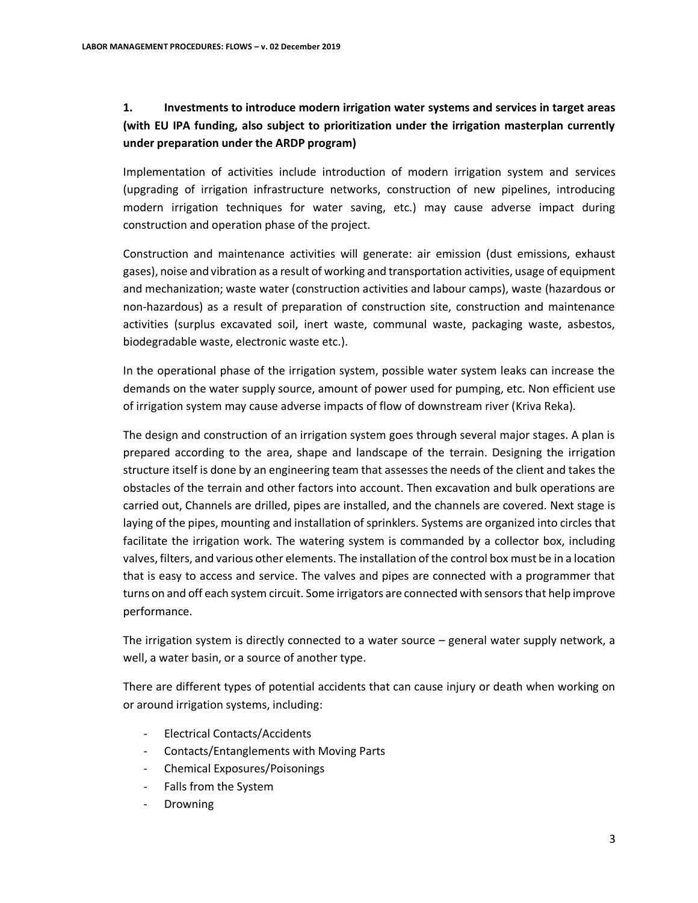# **1. Investments to introduce modern irrigation water systems and services in target areas (with EU IPA funding, also subject to prioritization under the irrigation masterplan currently under preparation under the ARDP program)**

Implementation of activities include introduction of modern irrigation system and services (upgrading of irrigation infrastructure networks, construction of new pipelines, introducing modern irrigation techniques for water saving, etc.) may cause adverse impact during construction and operation phase of the project.

Construction and maintenance activities will generate: air emission (dust emissions, exhaust gases), noise and vibration as a result of working and transportation activities, usage of equipment and mechanization; waste water (construction activities and labour camps), waste (hazardous or non-hazardous) as a result of preparation of construction site, construction and maintenance activities (surplus excavated soil, inert waste, communal waste, packaging waste, asbestos, biodegradable waste, electronic waste etc.).

In the operational phase of the irrigation system, possible water system leaks can increase the demands on the water supply source, amount of power used for pumping, etc. Non efficient use of irrigation system may cause adverse impacts of flow of downstream river (Kriva Reka).

The design and construction of an irrigation system goes through several major stages. A plan is prepared according to the area, shape and landscape of the terrain. Designing the irrigation structure itself is done by an engineering team that assesses the needs of the client and takes the obstacles of the terrain and other factors into account. Then excavation and bulk operations are carried out, Channels are drilled, pipes are installed, and the channels are covered. Next stage is laying of the pipes, mounting and installation of sprinklers. Systems are organized into circles that facilitate the irrigation work. The watering system is commanded by a collector box, including valves, filters, and various other elements. The installation of the control box must be in a location that is easy to access and service. The valves and pipes are connected with a programmer that turns on and off each system circuit. Some irrigators are connected with sensors that help improve performance.

The irrigation system is directly connected to a water source – general water supply network, a well, a water basin, or a source of another type.

There are different types of potential accidents that can cause injury or death when working on or around irrigation systems, including:

- Electrical Contacts/Accidents
- Contacts/Entanglements with Moving Parts
- Chemical Exposures/Poisonings
- Falls from the System
- Drowning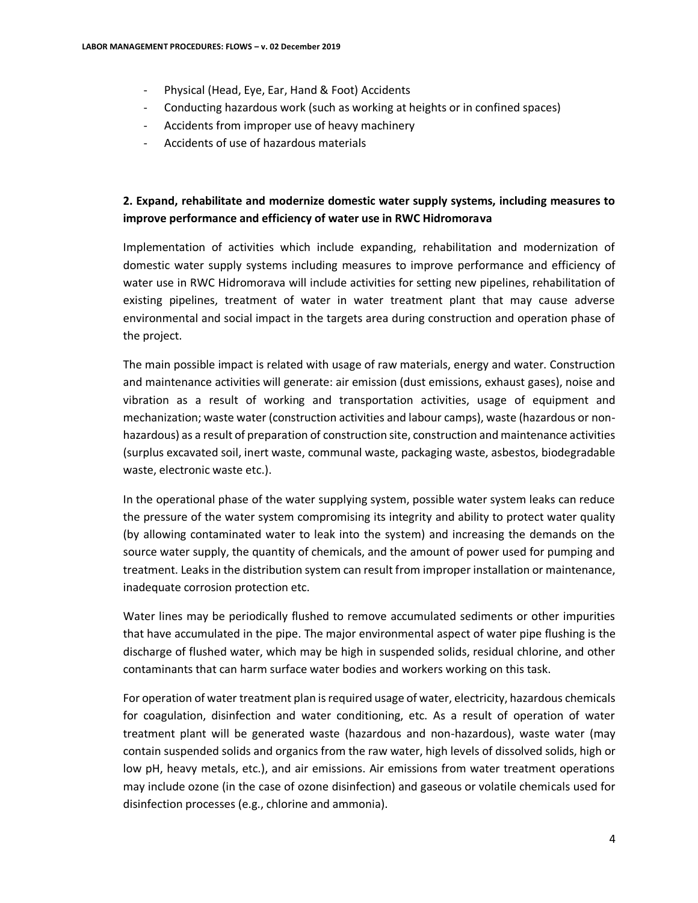- Physical (Head, Eye, Ear, Hand & Foot) Accidents
- Conducting hazardous work (such as working at heights or in confined spaces)
- Accidents from improper use of heavy machinery
- Accidents of use of hazardous materials

## **2. Expand, rehabilitate and modernize domestic water supply systems, including measures to improve performance and efficiency of water use in RWC Hidromorava**

Implementation of activities which include expanding, rehabilitation and modernization of domestic water supply systems including measures to improve performance and efficiency of water use in RWC Hidromorava will include activities for setting new pipelines, rehabilitation of existing pipelines, treatment of water in water treatment plant that may cause adverse environmental and social impact in the targets area during construction and operation phase of the project.

The main possible impact is related with usage of raw materials, energy and water. Construction and maintenance activities will generate: air emission (dust emissions, exhaust gases), noise and vibration as a result of working and transportation activities, usage of equipment and mechanization; waste water (construction activities and labour camps), waste (hazardous or nonhazardous) as a result of preparation of construction site, construction and maintenance activities (surplus excavated soil, inert waste, communal waste, packaging waste, asbestos, biodegradable waste, electronic waste etc.).

In the operational phase of the water supplying system, possible water system leaks can reduce the pressure of the water system compromising its integrity and ability to protect water quality (by allowing contaminated water to leak into the system) and increasing the demands on the source water supply, the quantity of chemicals, and the amount of power used for pumping and treatment. Leaks in the distribution system can result from improper installation or maintenance, inadequate corrosion protection etc.

Water lines may be periodically flushed to remove accumulated sediments or other impurities that have accumulated in the pipe. The major environmental aspect of water pipe flushing is the discharge of flushed water, which may be high in suspended solids, residual chlorine, and other contaminants that can harm surface water bodies and workers working on this task.

For operation of water treatment plan is required usage of water, electricity, hazardous chemicals for coagulation, disinfection and water conditioning, etc. As a result of operation of water treatment plant will be generated waste (hazardous and non-hazardous), waste water (may contain suspended solids and organics from the raw water, high levels of dissolved solids, high or low pH, heavy metals, etc.), and air emissions. Air emissions from water treatment operations may include ozone (in the case of ozone disinfection) and gaseous or volatile chemicals used for disinfection processes (e.g., chlorine and ammonia).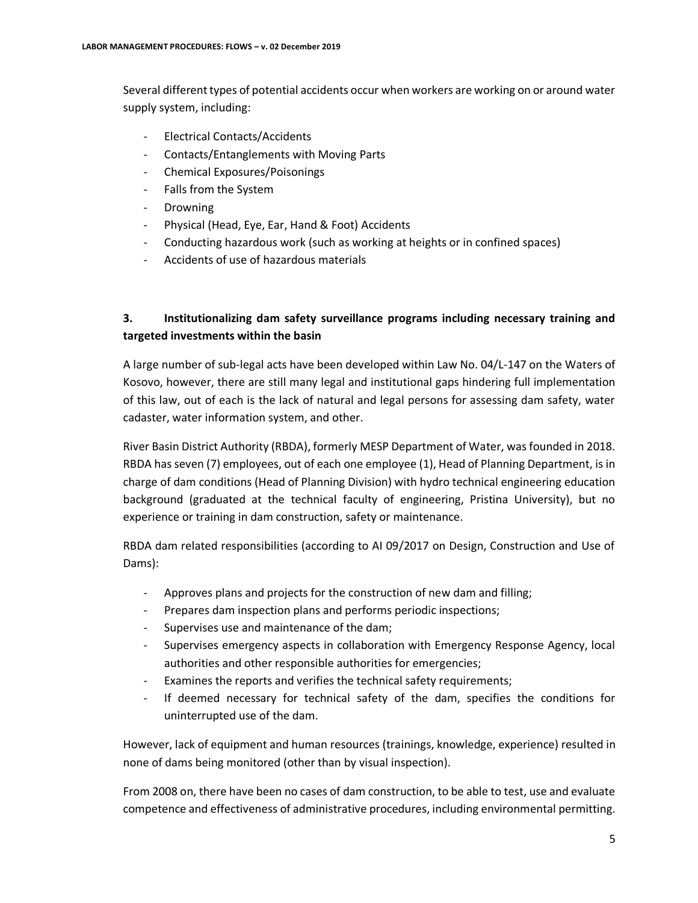Several different types of potential accidents occur when workers are working on or around water supply system, including:

- Electrical Contacts/Accidents
- Contacts/Entanglements with Moving Parts
- Chemical Exposures/Poisonings
- Falls from the System
- Drowning
- Physical (Head, Eye, Ear, Hand & Foot) Accidents
- Conducting hazardous work (such as working at heights or in confined spaces)
- Accidents of use of hazardous materials

## **3. Institutionalizing dam safety surveillance programs including necessary training and targeted investments within the basin**

A large number of sub-legal acts have been developed within Law No. 04/L-147 on the Waters of Kosovo, however, there are still many legal and institutional gaps hindering full implementation of this law, out of each is the lack of natural and legal persons for assessing dam safety, water cadaster, water information system, and other.

River Basin District Authority (RBDA), formerly MESP Department of Water, was founded in 2018. RBDA has seven (7) employees, out of each one employee (1), Head of Planning Department, is in charge of dam conditions (Head of Planning Division) with hydro technical engineering education background (graduated at the technical faculty of engineering, Pristina University), but no experience or training in dam construction, safety or maintenance.

RBDA dam related responsibilities (according to AI 09/2017 on Design, Construction and Use of Dams):

- Approves plans and projects for the construction of new dam and filling;
- Prepares dam inspection plans and performs periodic inspections;
- Supervises use and maintenance of the dam;
- Supervises emergency aspects in collaboration with Emergency Response Agency, local authorities and other responsible authorities for emergencies;
- Examines the reports and verifies the technical safety requirements;
- If deemed necessary for technical safety of the dam, specifies the conditions for uninterrupted use of the dam.

However, lack of equipment and human resources (trainings, knowledge, experience) resulted in none of dams being monitored (other than by visual inspection).

From 2008 on, there have been no cases of dam construction, to be able to test, use and evaluate competence and effectiveness of administrative procedures, including environmental permitting.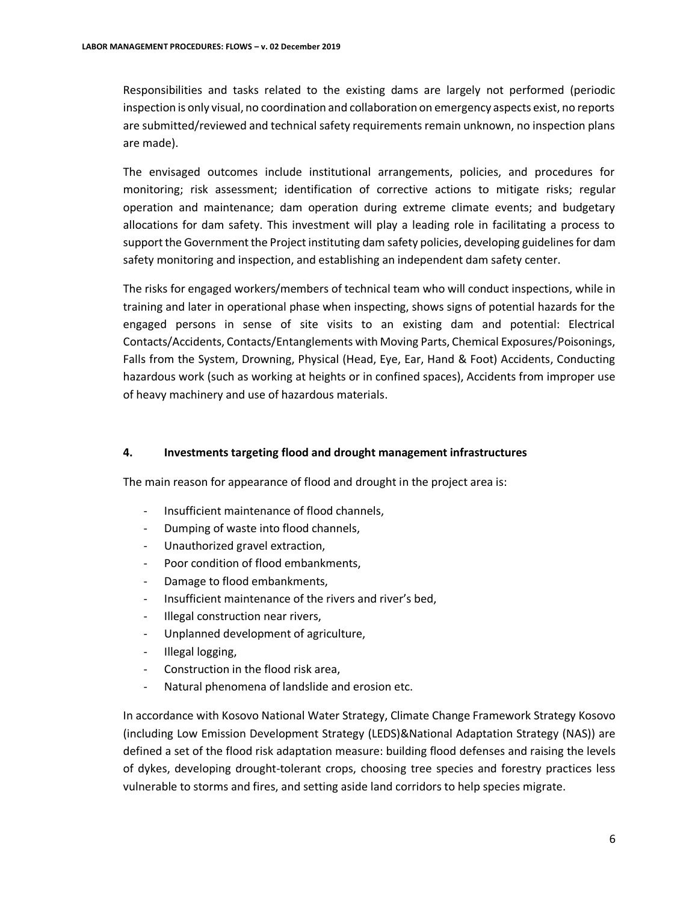Responsibilities and tasks related to the existing dams are largely not performed (periodic inspection is only visual, no coordination and collaboration on emergency aspects exist, no reports are submitted/reviewed and technical safety requirements remain unknown, no inspection plans are made).

The envisaged outcomes include institutional arrangements, policies, and procedures for monitoring; risk assessment; identification of corrective actions to mitigate risks; regular operation and maintenance; dam operation during extreme climate events; and budgetary allocations for dam safety. This investment will play a leading role in facilitating a process to support the Government the Project instituting dam safety policies, developing guidelines for dam safety monitoring and inspection, and establishing an independent dam safety center.

The risks for engaged workers/members of technical team who will conduct inspections, while in training and later in operational phase when inspecting, shows signs of potential hazards for the engaged persons in sense of site visits to an existing dam and potential: Electrical Contacts/Accidents, Contacts/Entanglements with Moving Parts, Chemical Exposures/Poisonings, Falls from the System, Drowning, Physical (Head, Eye, Ear, Hand & Foot) Accidents, Conducting hazardous work (such as working at heights or in confined spaces), Accidents from improper use of heavy machinery and use of hazardous materials.

#### **4. Investments targeting flood and drought management infrastructures**

The main reason for appearance of flood and drought in the project area is:

- Insufficient maintenance of flood channels,
- Dumping of waste into flood channels,
- Unauthorized gravel extraction,
- Poor condition of flood embankments,
- Damage to flood embankments,
- Insufficient maintenance of the rivers and river's bed,
- Illegal construction near rivers,
- Unplanned development of agriculture,
- Illegal logging,
- Construction in the flood risk area,
- Natural phenomena of landslide and erosion etc.

In accordance with Kosovo National Water Strategy, Climate Change Framework Strategy Kosovo (including Low Emission Development Strategy (LEDS)&National Adaptation Strategy (NAS)) are defined a set of the flood risk adaptation measure: building flood defenses and raising the levels of dykes, developing drought-tolerant crops, choosing tree species and forestry practices less vulnerable to storms and fires, and setting aside land corridors to help species migrate.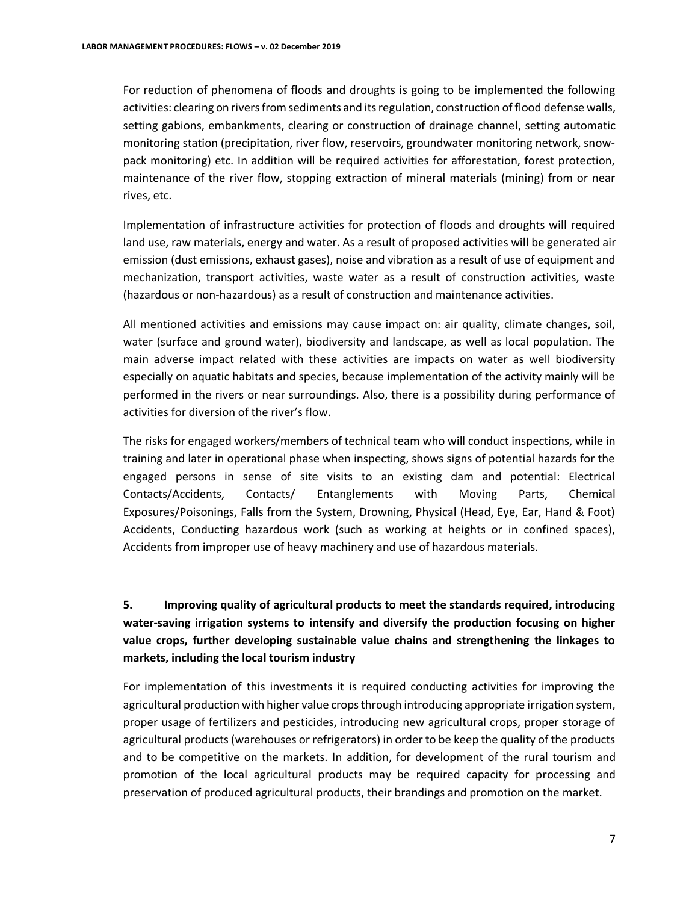For reduction of phenomena of floods and droughts is going to be implemented the following activities: clearing on rivers from sediments and its regulation, construction of flood defense walls, setting gabions, embankments, clearing or construction of drainage channel, setting automatic monitoring station (precipitation, river flow, reservoirs, groundwater monitoring network, snow‐ pack monitoring) etc. In addition will be required activities for afforestation, forest protection, maintenance of the river flow, stopping extraction of mineral materials (mining) from or near rives, etc.

Implementation of infrastructure activities for protection of floods and droughts will required land use, raw materials, energy and water. As a result of proposed activities will be generated air emission (dust emissions, exhaust gases), noise and vibration as a result of use of equipment and mechanization, transport activities, waste water as a result of construction activities, waste (hazardous or non-hazardous) as a result of construction and maintenance activities.

All mentioned activities and emissions may cause impact on: air quality, climate changes, soil, water (surface and ground water), biodiversity and landscape, as well as local population. The main adverse impact related with these activities are impacts on water as well biodiversity especially on aquatic habitats and species, because implementation of the activity mainly will be performed in the rivers or near surroundings. Also, there is a possibility during performance of activities for diversion of the river's flow.

The risks for engaged workers/members of technical team who will conduct inspections, while in training and later in operational phase when inspecting, shows signs of potential hazards for the engaged persons in sense of site visits to an existing dam and potential: Electrical Contacts/Accidents, Contacts/ Entanglements with Moving Parts, Chemical Exposures/Poisonings, Falls from the System, Drowning, Physical (Head, Eye, Ear, Hand & Foot) Accidents, Conducting hazardous work (such as working at heights or in confined spaces), Accidents from improper use of heavy machinery and use of hazardous materials.

# **5. Improving quality of agricultural products to meet the standards required, introducing water-saving irrigation systems to intensify and diversify the production focusing on higher value crops, further developing sustainable value chains and strengthening the linkages to markets, including the local tourism industry**

For implementation of this investments it is required conducting activities for improving the agricultural production with higher value crops through introducing appropriate irrigation system, proper usage of fertilizers and pesticides, introducing new agricultural crops, proper storage of agricultural products (warehouses or refrigerators) in order to be keep the quality of the products and to be competitive on the markets. In addition, for development of the rural tourism and promotion of the local agricultural products may be required capacity for processing and preservation of produced agricultural products, their brandings and promotion on the market.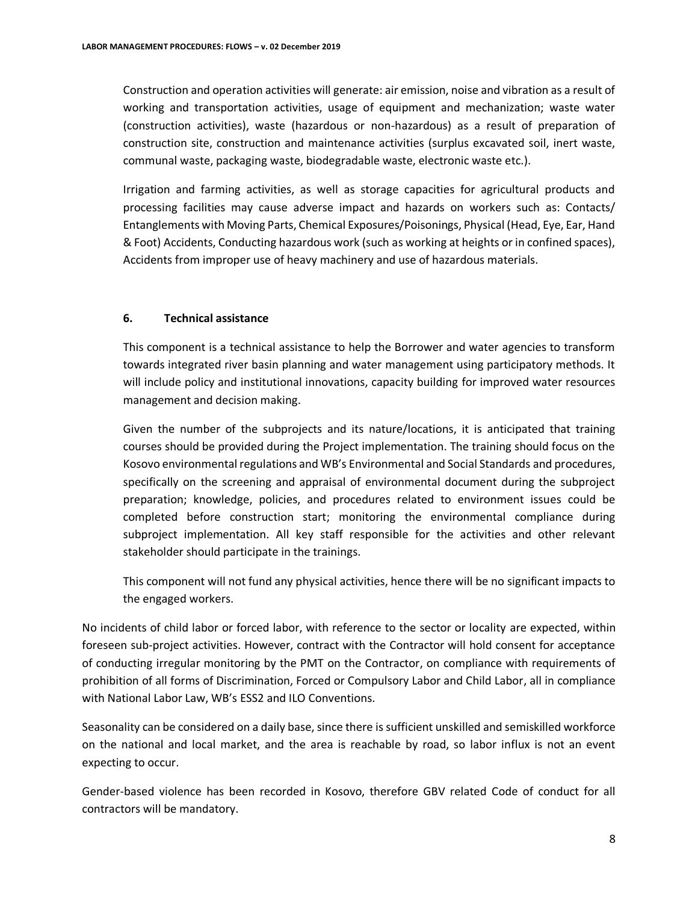Construction and operation activities will generate: air emission, noise and vibration as a result of working and transportation activities, usage of equipment and mechanization; waste water (construction activities), waste (hazardous or non-hazardous) as a result of preparation of construction site, construction and maintenance activities (surplus excavated soil, inert waste, communal waste, packaging waste, biodegradable waste, electronic waste etc.).

Irrigation and farming activities, as well as storage capacities for agricultural products and processing facilities may cause adverse impact and hazards on workers such as: Contacts/ Entanglements with Moving Parts, Chemical Exposures/Poisonings, Physical (Head, Eye, Ear, Hand & Foot) Accidents, Conducting hazardous work (such as working at heights or in confined spaces), Accidents from improper use of heavy machinery and use of hazardous materials.

#### **6. Technical assistance**

This component is a technical assistance to help the Borrower and water agencies to transform towards integrated river basin planning and water management using participatory methods. It will include policy and institutional innovations, capacity building for improved water resources management and decision making.

Given the number of the subprojects and its nature/locations, it is anticipated that training courses should be provided during the Project implementation. The training should focus on the Kosovo environmental regulations and WB's Environmental and Social Standards and procedures, specifically on the screening and appraisal of environmental document during the subproject preparation; knowledge, policies, and procedures related to environment issues could be completed before construction start; monitoring the environmental compliance during subproject implementation. All key staff responsible for the activities and other relevant stakeholder should participate in the trainings.

This component will not fund any physical activities, hence there will be no significant impacts to the engaged workers.

No incidents of child labor or forced labor, with reference to the sector or locality are expected, within foreseen sub-project activities. However, contract with the Contractor will hold consent for acceptance of conducting irregular monitoring by the PMT on the Contractor, on compliance with requirements of prohibition of all forms of Discrimination, Forced or Compulsory Labor and Child Labor, all in compliance with National Labor Law, WB's ESS2 and ILO Conventions.

Seasonality can be considered on a daily base, since there is sufficient unskilled and semiskilled workforce on the national and local market, and the area is reachable by road, so labor influx is not an event expecting to occur.

Gender-based violence has been recorded in Kosovo, therefore GBV related Code of conduct for all contractors will be mandatory.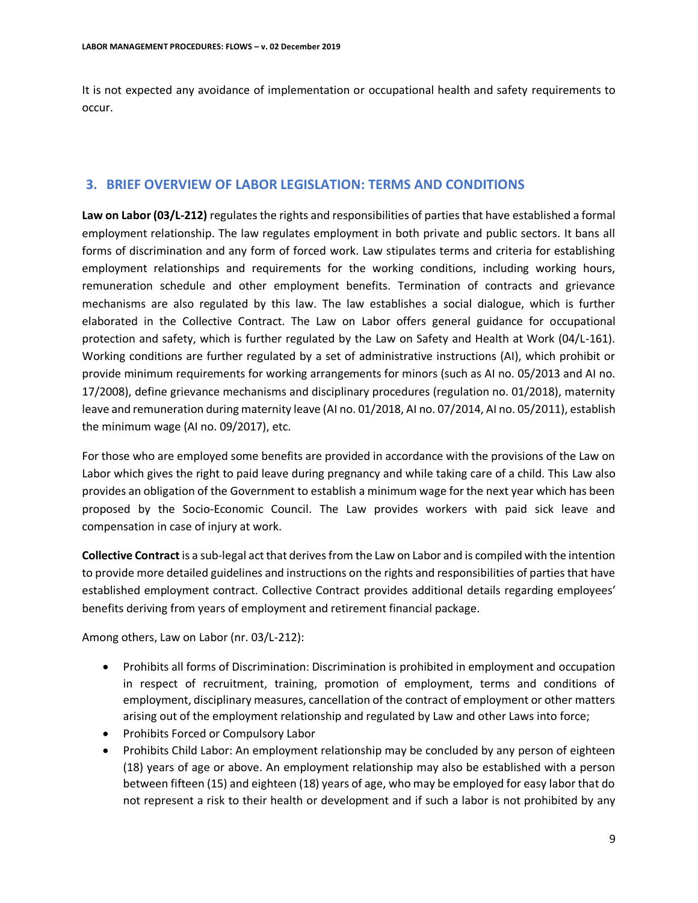It is not expected any avoidance of implementation or occupational health and safety requirements to occur.

### **3. BRIEF OVERVIEW OF LABOR LEGISLATION: TERMS AND CONDITIONS**

**Law on Labor (03/L-212)** regulates the rights and responsibilities of parties that have established a formal employment relationship. The law regulates employment in both private and public sectors. It bans all forms of discrimination and any form of forced work. Law stipulates terms and criteria for establishing employment relationships and requirements for the working conditions, including working hours, remuneration schedule and other employment benefits. Termination of contracts and grievance mechanisms are also regulated by this law. The law establishes a social dialogue, which is further elaborated in the Collective Contract. The Law on Labor offers general guidance for occupational protection and safety, which is further regulated by the Law on Safety and Health at Work (04/L-161). Working conditions are further regulated by a set of administrative instructions (AI), which prohibit or provide minimum requirements for working arrangements for minors (such as AI no. 05/2013 and AI no. 17/2008), define grievance mechanisms and disciplinary procedures (regulation no. 01/2018), maternity leave and remuneration during maternity leave (AI no. 01/2018, AI no. 07/2014, AI no. 05/2011), establish the minimum wage (AI no. 09/2017), etc.

For those who are employed some benefits are provided in accordance with the provisions of the Law on Labor which gives the right to paid leave during pregnancy and while taking care of a child. This Law also provides an obligation of the Government to establish a minimum wage for the next year which has been proposed by the Socio-Economic Council. The Law provides workers with paid sick leave and compensation in case of injury at work.

**Collective Contract** is a sub-legal act that derives from the Law on Labor and is compiled with the intention to provide more detailed guidelines and instructions on the rights and responsibilities of parties that have established employment contract. Collective Contract provides additional details regarding employees' benefits deriving from years of employment and retirement financial package.

Among others, Law on Labor (nr. 03/L-212):

- Prohibits all forms of Discrimination: Discrimination is prohibited in employment and occupation in respect of recruitment, training, promotion of employment, terms and conditions of employment, disciplinary measures, cancellation of the contract of employment or other matters arising out of the employment relationship and regulated by Law and other Laws into force;
- Prohibits Forced or Compulsory Labor
- Prohibits Child Labor: An employment relationship may be concluded by any person of eighteen (18) years of age or above. An employment relationship may also be established with a person between fifteen (15) and eighteen (18) years of age, who may be employed for easy labor that do not represent a risk to their health or development and if such a labor is not prohibited by any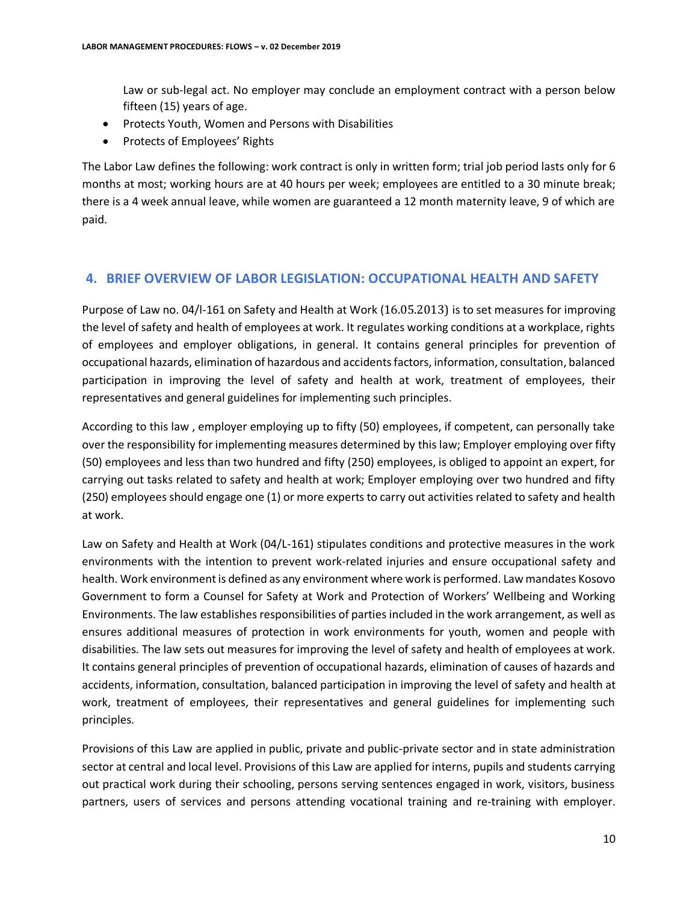Law or sub-legal act. No employer may conclude an employment contract with a person below fifteen (15) years of age.

- Protects Youth, Women and Persons with Disabilities
- Protects of Employees' Rights

The Labor Law defines the following: work contract is only in written form; trial job period lasts only for 6 months at most; working hours are at 40 hours per week; employees are entitled to a 30 minute break; there is a 4 week annual leave, while women are guaranteed a 12 month maternity leave, 9 of which are paid.

## **4. BRIEF OVERVIEW OF LABOR LEGISLATION: OCCUPATIONAL HEALTH AND SAFETY**

Purpose of Law no. 04/l-161 on Safety and Health at Work (16.05.2013) is to set measures for improving the level of safety and health of employees at work. It regulates working conditions at a workplace, rights of employees and employer obligations, in general. It contains general principles for prevention of occupational hazards, elimination of hazardous and accidents factors, information, consultation, balanced participation in improving the level of safety and health at work, treatment of employees, their representatives and general guidelines for implementing such principles.

According to this law , employer employing up to fifty (50) employees, if competent, can personally take over the responsibility for implementing measures determined by this law; Employer employing over fifty (50) employees and less than two hundred and fifty (250) employees, is obliged to appoint an expert, for carrying out tasks related to safety and health at work; Employer employing over two hundred and fifty (250) employees should engage one (1) or more experts to carry out activities related to safety and health at work.

Law on Safety and Health at Work (04/L-161) stipulates conditions and protective measures in the work environments with the intention to prevent work-related injuries and ensure occupational safety and health. Work environment is defined as any environment where work is performed. Law mandates Kosovo Government to form a Counsel for Safety at Work and Protection of Workers' Wellbeing and Working Environments. The law establishes responsibilities of parties included in the work arrangement, as well as ensures additional measures of protection in work environments for youth, women and people with disabilities. The law sets out measures for improving the level of safety and health of employees at work. It contains general principles of prevention of occupational hazards, elimination of causes of hazards and accidents, information, consultation, balanced participation in improving the level of safety and health at work, treatment of employees, their representatives and general guidelines for implementing such principles.

Provisions of this Law are applied in public, private and public-private sector and in state administration sector at central and local level. Provisions of this Law are applied for interns, pupils and students carrying out practical work during their schooling, persons serving sentences engaged in work, visitors, business partners, users of services and persons attending vocational training and re-training with employer.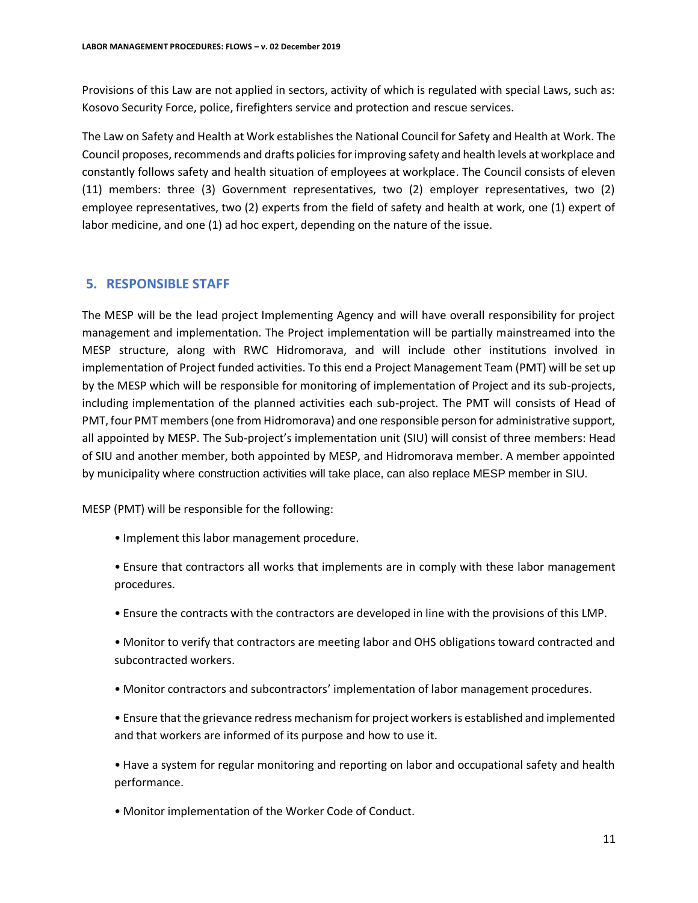Provisions of this Law are not applied in sectors, activity of which is regulated with special Laws, such as: Kosovo Security Force, police, firefighters service and protection and rescue services.

The Law on Safety and Health at Work establishes the National Council for Safety and Health at Work. The Council proposes, recommends and drafts policies for improving safety and health levels at workplace and constantly follows safety and health situation of employees at workplace. The Council consists of eleven (11) members: three (3) Government representatives, two (2) employer representatives, two (2) employee representatives, two (2) experts from the field of safety and health at work, one (1) expert of labor medicine, and one (1) ad hoc expert, depending on the nature of the issue.

#### **5. RESPONSIBLE STAFF**

The MESP will be the lead project Implementing Agency and will have overall responsibility for project management and implementation. The Project implementation will be partially mainstreamed into the MESP structure, along with RWC Hidromorava, and will include other institutions involved in implementation of Project funded activities. To this end a Project Management Team (PMT) will be set up by the MESP which will be responsible for monitoring of implementation of Project and its sub-projects, including implementation of the planned activities each sub-project. The PMT will consists of Head of PMT, four PMT members (one from Hidromorava) and one responsible person for administrative support, all appointed by MESP. The Sub-project's implementation unit (SIU) will consist of three members: Head of SIU and another member, both appointed by MESP, and Hidromorava member. A member appointed by municipality where construction activities will take place, can also replace MESP member in SIU.

MESP (PMT) will be responsible for the following:

- Implement this labor management procedure.
- Ensure that contractors all works that implements are in comply with these labor management procedures.
- Ensure the contracts with the contractors are developed in line with the provisions of this LMP.
- Monitor to verify that contractors are meeting labor and OHS obligations toward contracted and subcontracted workers.
- Monitor contractors and subcontractors' implementation of labor management procedures.
- Ensure that the grievance redress mechanism for project workers is established and implemented and that workers are informed of its purpose and how to use it.
- Have a system for regular monitoring and reporting on labor and occupational safety and health performance.
- Monitor implementation of the Worker Code of Conduct.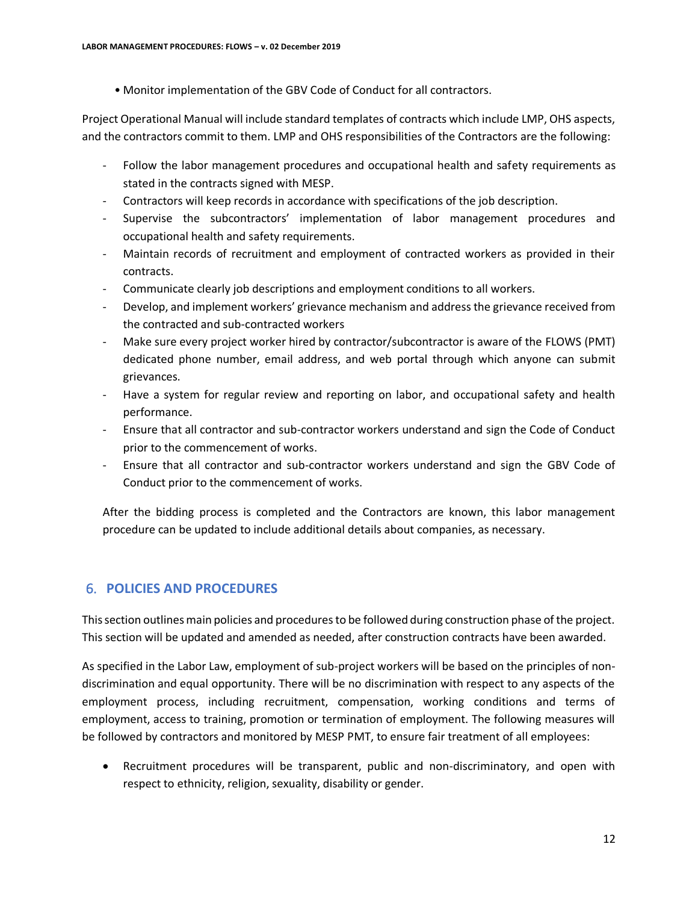• Monitor implementation of the GBV Code of Conduct for all contractors.

Project Operational Manual will include standard templates of contracts which include LMP, OHS aspects, and the contractors commit to them. LMP and OHS responsibilities of the Contractors are the following:

- Follow the labor management procedures and occupational health and safety requirements as stated in the contracts signed with MESP.
- Contractors will keep records in accordance with specifications of the job description.
- Supervise the subcontractors' implementation of labor management procedures and occupational health and safety requirements.
- Maintain records of recruitment and employment of contracted workers as provided in their contracts.
- Communicate clearly job descriptions and employment conditions to all workers.
- Develop, and implement workers' grievance mechanism and address the grievance received from the contracted and sub-contracted workers
- Make sure every project worker hired by contractor/subcontractor is aware of the FLOWS (PMT) dedicated phone number, email address, and web portal through which anyone can submit grievances.
- Have a system for regular review and reporting on labor, and occupational safety and health performance.
- Ensure that all contractor and sub-contractor workers understand and sign the Code of Conduct prior to the commencement of works.
- Ensure that all contractor and sub-contractor workers understand and sign the GBV Code of Conduct prior to the commencement of works.

After the bidding process is completed and the Contractors are known, this labor management procedure can be updated to include additional details about companies, as necessary.

# 6. **POLICIES AND PROCEDURES**

This section outlines main policies and procedures to be followed during construction phase of the project. This section will be updated and amended as needed, after construction contracts have been awarded.

As specified in the Labor Law, employment of sub-project workers will be based on the principles of nondiscrimination and equal opportunity. There will be no discrimination with respect to any aspects of the employment process, including recruitment, compensation, working conditions and terms of employment, access to training, promotion or termination of employment. The following measures will be followed by contractors and monitored by MESP PMT, to ensure fair treatment of all employees:

 Recruitment procedures will be transparent, public and non-discriminatory, and open with respect to ethnicity, religion, sexuality, disability or gender.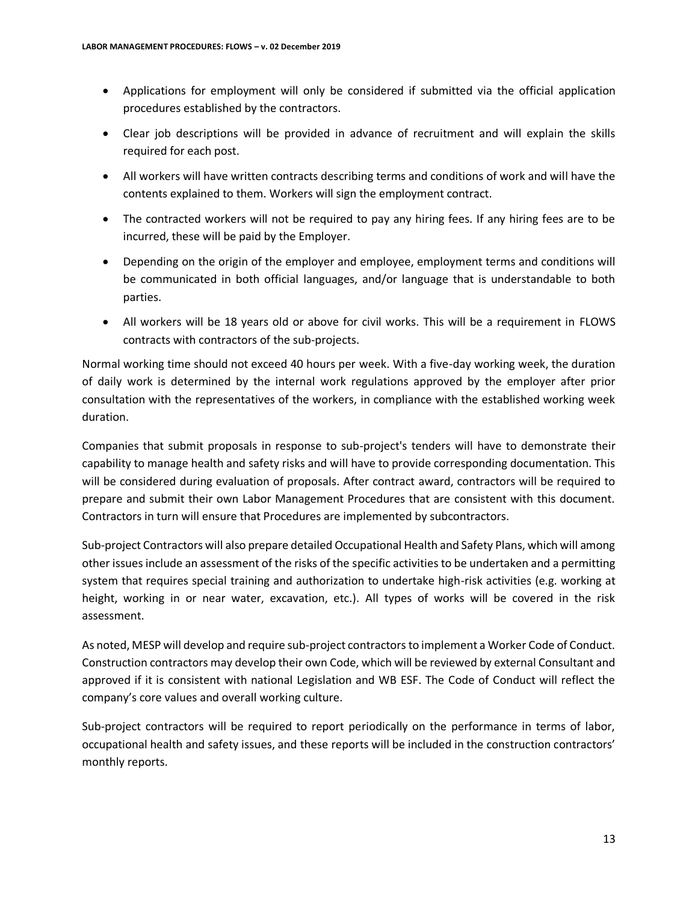- Applications for employment will only be considered if submitted via the official application procedures established by the contractors.
- Clear job descriptions will be provided in advance of recruitment and will explain the skills required for each post.
- All workers will have written contracts describing terms and conditions of work and will have the contents explained to them. Workers will sign the employment contract.
- The contracted workers will not be required to pay any hiring fees. If any hiring fees are to be incurred, these will be paid by the Employer.
- Depending on the origin of the employer and employee, employment terms and conditions will be communicated in both official languages, and/or language that is understandable to both parties.
- All workers will be 18 years old or above for civil works. This will be a requirement in FLOWS contracts with contractors of the sub-projects.

Normal working time should not exceed 40 hours per week. With a five-day working week, the duration of daily work is determined by the internal work regulations approved by the employer after prior consultation with the representatives of the workers, in compliance with the established working week duration.

Companies that submit proposals in response to sub-project's tenders will have to demonstrate their capability to manage health and safety risks and will have to provide corresponding documentation. This will be considered during evaluation of proposals. After contract award, contractors will be required to prepare and submit their own Labor Management Procedures that are consistent with this document. Contractors in turn will ensure that Procedures are implemented by subcontractors.

Sub-project Contractors will also prepare detailed Occupational Health and Safety Plans, which will among other issues include an assessment of the risks of the specific activities to be undertaken and a permitting system that requires special training and authorization to undertake high-risk activities (e.g. working at height, working in or near water, excavation, etc.). All types of works will be covered in the risk assessment.

As noted, MESP will develop and require sub-project contractors to implement a Worker Code of Conduct. Construction contractors may develop their own Code, which will be reviewed by external Consultant and approved if it is consistent with national Legislation and WB ESF. The Code of Conduct will reflect the company's core values and overall working culture.

Sub-project contractors will be required to report periodically on the performance in terms of labor, occupational health and safety issues, and these reports will be included in the construction contractors' monthly reports.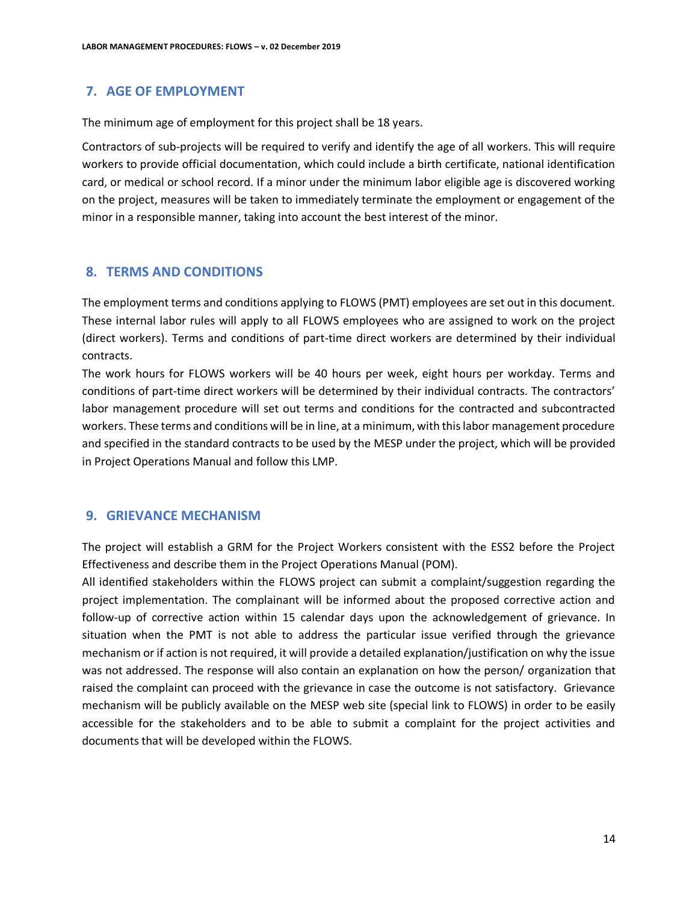# **7. AGE OF EMPLOYMENT**

The minimum age of employment for this project shall be 18 years.

Contractors of sub-projects will be required to verify and identify the age of all workers. This will require workers to provide official documentation, which could include a birth certificate, national identification card, or medical or school record. If a minor under the minimum labor eligible age is discovered working on the project, measures will be taken to immediately terminate the employment or engagement of the minor in a responsible manner, taking into account the best interest of the minor.

#### **8. TERMS AND CONDITIONS**

The employment terms and conditions applying to FLOWS (PMT) employees are set out in this document. These internal labor rules will apply to all FLOWS employees who are assigned to work on the project (direct workers). Terms and conditions of part-time direct workers are determined by their individual contracts.

The work hours for FLOWS workers will be 40 hours per week, eight hours per workday. Terms and conditions of part-time direct workers will be determined by their individual contracts. The contractors' labor management procedure will set out terms and conditions for the contracted and subcontracted workers. These terms and conditions will be in line, at a minimum, with this labor management procedure and specified in the standard contracts to be used by the MESP under the project, which will be provided in Project Operations Manual and follow this LMP.

# **9. GRIEVANCE MECHANISM**

The project will establish a GRM for the Project Workers consistent with the ESS2 before the Project Effectiveness and describe them in the Project Operations Manual (POM).

All identified stakeholders within the FLOWS project can submit a complaint/suggestion regarding the project implementation. The complainant will be informed about the proposed corrective action and follow-up of corrective action within 15 calendar days upon the acknowledgement of grievance. In situation when the PMT is not able to address the particular issue verified through the grievance mechanism or if action is not required, it will provide a detailed explanation/justification on why the issue was not addressed. The response will also contain an explanation on how the person/ organization that raised the complaint can proceed with the grievance in case the outcome is not satisfactory. Grievance mechanism will be publicly available on the MESP web site (special link to FLOWS) in order to be easily accessible for the stakeholders and to be able to submit a complaint for the project activities and documents that will be developed within the FLOWS.